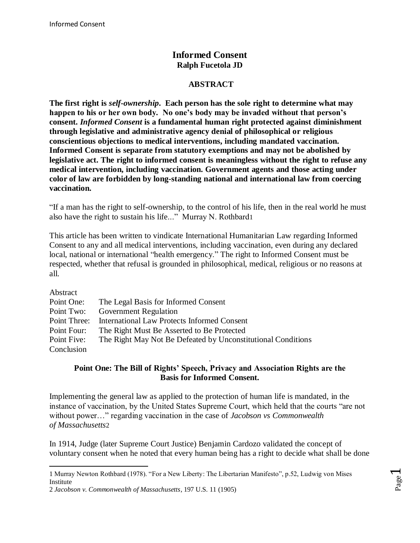# **Informed Consent Ralph Fucetola JD**

#### **ABSTRACT**

**The first right is** *self-ownership***. Each person has the sole right to determine what may happen to his or her own body. No one's body may be invaded without that person's consent.** *Informed Consent* **is a fundamental human right protected against diminishment through legislative and administrative agency denial of philosophical or religious conscientious objections to medical interventions, including mandated vaccination. Informed Consent is separate from statutory exemptions and may not be abolished by legislative act. The right to informed consent is meaningless without the right to refuse any medical intervention, including vaccination. Government agents and those acting under color of law are forbidden by long-standing national and international law from coercing vaccination.**

"If a man has the right to self-ownership, to the control of his life, then in the real world he must also have the right to sustain his life..." Murray N. Rothbard1

This article has been written to vindicate International Humanitarian Law regarding Informed Consent to any and all medical interventions, including vaccination, even during any declared local, national or international "health emergency." The right to Informed Consent must be respected, whether that refusal is grounded in philosophical, medical, religious or no reasons at all.

| Abstract    |                                                              |
|-------------|--------------------------------------------------------------|
| Point One:  | The Legal Basis for Informed Consent                         |
| Point Two:  | <b>Government Regulation</b>                                 |
|             | Point Three: International Law Protects Informed Consent     |
| Point Four: | The Right Must Be Asserted to Be Protected                   |
| Point Five: | The Right May Not Be Defeated by Unconstitutional Conditions |
| Conclusion  |                                                              |

#### . **Point One: The Bill of Rights' Speech, Privacy and Association Rights are the Basis for Informed Consent.**

Implementing the general law as applied to the protection of human life is mandated, in the instance of vaccination, by the United States Supreme Court, which held that the courts "are not without power…" regarding vaccination in the case of *Jacobson vs Commonwealth of Massachusetts*2

In 1914, Judge (later Supreme Court Justice) Benjamin Cardozo validated the concept of voluntary consent when he noted that every human being has a right to decide what shall be done

l 1 Murray Newton Rothbard (1978). "For a New Liberty: The Libertarian Manifesto", p.52, Ludwig von Mises Institute

<sup>2</sup> *Jacobson v. Commonwealth of Massachusetts*, 197 U.S. 11 (1905)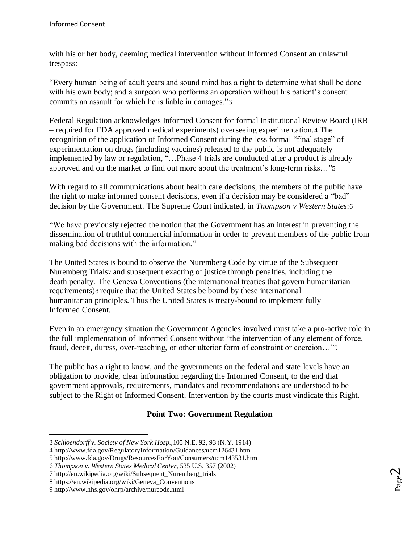with his or her body, deeming medical intervention without Informed Consent an unlawful trespass:

"Every human being of adult years and sound mind has a right to determine what shall be done with his own body; and a surgeon who performs an operation without his patient's consent commits an assault for which he is liable in damages."3

Federal Regulation acknowledges Informed Consent for formal Institutional Review Board (IRB – required for FDA approved medical experiments) overseeing experimentation.4 The recognition of the application of Informed Consent during the less formal "final stage" of experimentation on drugs (including vaccines) released to the public is not adequately implemented by law or regulation, "…Phase 4 trials are conducted after a product is already approved and on the market to find out more about the treatment's long-term risks…"[5](file:///C:/Users/Ralph/Documents/NaturalSolutions2013/InformedConsent/A%20BRIEF%20FOR%20INFORMED%20CONSENT.docx%23_ftn4)

With regard to all communications about health care decisions, the members of the public have the right to make informed consent decisions, even if a decision may be considered a "bad" decision by the Government. The Supreme Court indicated, in *Thompson v Western States*:6

"We have previously rejected the notion that the Government has an interest in preventing the dissemination of truthful commercial information in order to prevent members of the public from making bad decisions with the information."

The United States is bound to observe the Nuremberg Code by virtue of the Subsequent Nuremberg Trials7 and subsequent exacting of justice through penalties, including the death penalty. The Geneva Conventions (the international treaties that govern humanitarian requirements)8 require that the United States be bound by these international humanitarian principles. Thus the United States is treaty-bound to implement fully Informed Consent.

Even in an emergency situation the Government Agencies involved must take a pro-active role in the full implementation of Informed Consent without "the intervention of any element of force, fraud, deceit, duress, over-reaching, or other ulterior form of constraint or coercion…"9

The public has a right to know, and the governments on the federal and state levels have an obligation to provide, clear information regarding the Informed Consent, to the end that government approvals, requirements, mandates and recommendations are understood to be subject to the Right of Informed Consent. Intervention by the courts must vindicate this Right.

## **Point Two: Government Regulation**

<sup>3</sup> *Schloendorff v. Society of New York Hosp.,*105 N.E. 92, 93 (N.Y. 1914)

<sup>4</sup> http://www.fda.gov/RegulatoryInformation/Guidances/ucm126431.htm

<sup>5</sup> http://www.fda.gov/Drugs/ResourcesForYou/Consumers/ucm143531.htm

<sup>6</sup> *Thompson v. Western States Medical Center,* 535 U.S. 357 (2002)

<sup>7</sup> http://en.wikipedia.org/wiki/Subsequent\_Nuremberg\_trials

<sup>8</sup> https://en.wikipedia.org/wiki/Geneva\_Conventions

<sup>9</sup> http://www.hhs.gov/ohrp/archive/nurcode.html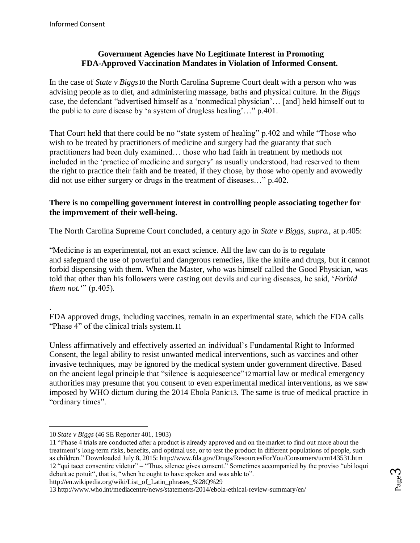## **Government Agencies have No Legitimate Interest in Promoting FDA-Approved Vaccination Mandates in Violation of Informed Consent.**

In the case of *State v Biggs*10 the North Carolina Supreme Court dealt with a person who was advising people as to diet, and administering massage, baths and physical culture. In the *Biggs*  case, the defendant "advertised himself as a 'nonmedical physician'… [and] held himself out to the public to cure disease by 'a system of drugless healing'…" p.401.

That Court held that there could be no "state system of healing" p.402 and while "Those who wish to be treated by practitioners of medicine and surgery had the guaranty that such practitioners had been duly examined… those who had faith in treatment by methods not included in the 'practice of medicine and surgery' as usually understood, had reserved to them the right to practice their faith and be treated, if they chose, by those who openly and avowedly did not use either surgery or drugs in the treatment of diseases…" p.402.

#### **There is no compelling government interest in controlling people associating together for the improvement of their well-being.**

The North Carolina Supreme Court concluded, a century ago in *State v Biggs, supra.*, at p.405:

"Medicine is an experimental, not an exact science. All the law can do is to regulate and safeguard the use of powerful and dangerous remedies, like the knife and drugs, but it cannot forbid dispensing with them. When the Master, who was himself called the Good Physician, was told that other than his followers were casting out devils and curing diseases, he said, '*Forbid them not.*<sup>"</sup> (p.405).

. FDA approved drugs, including vaccines, remain in an experimental state, which the FDA calls "Phase 4" of the clinical trials system.11

Unless affirmatively and effectively asserted an individual's Fundamental Right to Informed Consent, the legal ability to resist unwanted medical interventions, such as vaccines and other invasive techniques, may be ignored by the medical system under government directive. Based on the ancient legal principle that "silence is acquiescence"12martial law or medical emergency authorities may presume that you consent to even experimental medical interventions, as we saw imposed by WHO dictum during the 2014 Ebola Panic13. The same is true of medical practice in "ordinary times".

l

http://en.wikipedia.org/wiki/List\_of\_Latin\_phrases\_%28Q%29

<sup>10</sup> *State v Biggs* (46 SE Reporter 401, 1903)

<sup>11</sup> "Phase 4 trials are conducted after a product is already approved and on the market to find out more about the treatment's long-term risks, benefits, and optimal use, or to test the product in different populations of people, such as children." Downloaded July 8, 2015: http://www.fda.gov/Drugs/ResourcesForYou/Consumers/ucm143531.htm 12 "qui tacet consentire videtur" – "Thus, silence gives consent." Sometimes accompanied by the proviso "ubi loqui debuit ac potuit", that is, "when he ought to have spoken and was able to".

<sup>13</sup> http://www.who.int/mediacentre/news/statements/2014/ebola-ethical-review-summary/en/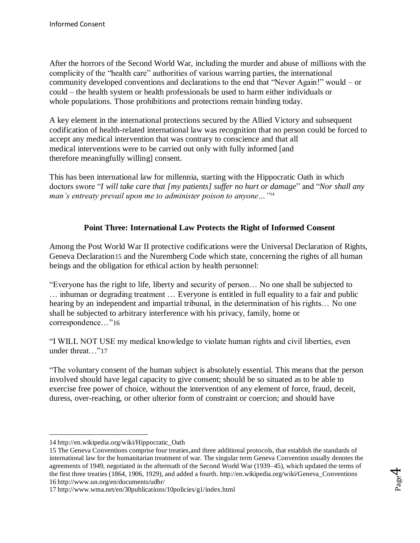After the horrors of the Second World War, including the murder and abuse of millions with the complicity of the "health care" authorities of various warring parties, the international community developed conventions and declarations to the end that "Never Again!" would – or could – the health system or health professionals be used to harm either individuals or whole populations. Those prohibitions and protections remain binding today.

A key element in the international protections secured by the Allied Victory and subsequent codification of health-related international law was recognition that no person could be forced to accept any medical intervention that was contrary to conscience and that all medical interventions were to be carried out only with fully informed [and therefore meaningfully willing] consent.

This has been international law for millennia, starting with the Hippocratic Oath in which doctors swore "*I will take care that [my patients] suffer no hurt or damage*" and "*Nor shall any man's entreaty prevail upon me to administer poison to anyone…"*[14](file:///C:/Users/Ralph/Documents/NaturalSolutions2013/InformedConsent/A%20BRIEF%20FOR%20INFORMED%20CONSENT.docx%23_ftn13)

### **Point Three: International Law Protects the Right of Informed Consent**

Among the Post World War II protective codifications were the Universal Declaration of Rights, Geneva Declaration15 and the Nuremberg Code which state, concerning the rights of all human beings and the obligation for ethical action by health personnel:

"Everyone has the right to life, liberty and security of person… No one shall be subjected to … inhuman or degrading treatment … Everyone is entitled in full equality to a fair and public hearing by an independent and impartial tribunal, in the determination of his rights... No one shall be subjected to arbitrary interference with his privacy, family, home or correspondence…"16

"I WILL NOT USE my medical knowledge to violate human rights and civil liberties, even under threat…"17

"The voluntary consent of the human subject is absolutely essential. This means that the person involved should have legal capacity to give consent; should be so situated as to be able to exercise free power of choice, without the intervention of any element of force, fraud, deceit, duress, over-reaching, or other ulterior form of constraint or coercion; and should have

<sup>14</sup> http://en.wikipedia.org/wiki/Hippocratic\_Oath

<sup>15</sup> The Geneva Conventions comprise four treaties,and three additional protocols, that establish the standards of international law for the humanitarian treatment of war. The singular term Geneva Convention usually denotes the agreements of 1949, negotiated in the aftermath of the Second World War (1939–45), which updated the terms of the first three treaties (1864, 1906, 1929), and added a fourth. http://en.wikipedia.org/wiki/Geneva\_Conventions 16 http://www.un.org/en/documents/udhr/

<sup>17</sup> http://www.wma.net/en/30publications/10policies/g1/index.html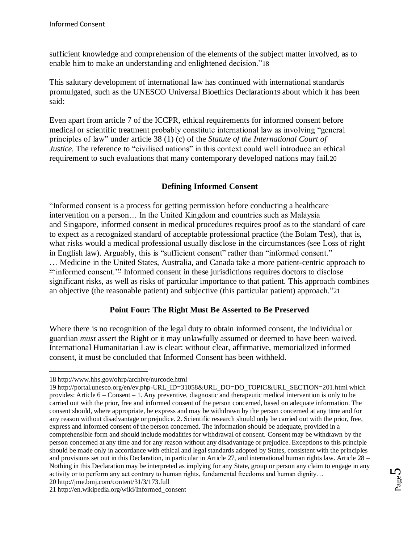sufficient knowledge and comprehension of the elements of the subject matter involved, as to enable him to make an understanding and enlightened decision."18

This salutary development of international law has continued with international standards promulgated, such as the UNESCO Universal Bioethics Declaration19 about which it has been said:

Even apart from article 7 of the ICCPR*,* ethical requirements for informed consent before medical or scientific treatment probably constitute international law as involving "general principles of law" under article 38 (1) (c) of the *Statute of the International Court of Justice*. The reference to "civilised nations" in this context could well introduce an ethical requirement to such evaluations that many contemporary developed nations may fail.[20](file:///C:/Users/Ralph/Documents/NaturalSolutions2013/InformedConsent/A%20BRIEF%20FOR%20INFORMED%20CONSENT.docx%23_ftn19)

## **Defining Informed Consent**

"Informed consent is a process for getting permission before conducting a healthcare intervention on a person… In the United Kingdom and countries such as Malaysia and Singapore, informed consent in medical procedures requires proof as to the standard of care to expect as a recognized standard of acceptable professional practice (the Bolam Test), that is, what risks would a medical professional usually disclose in the circumstances (see Loss of right in English law). Arguably, this is "sufficient consent" rather than "informed consent." … Medicine in the United States, Australia, and Canada take a more patient-centric approach to "informed consent.'" Informed consent in these jurisdictions requires doctors to disclose significant risks, as well as risks of particular importance to that patient. This approach combines an objective (the reasonable patient) and subjective (this particular patient) approach."21

#### **Point Four: The Right Must Be Asserted to Be Preserved**

Where there is no recognition of the legal duty to obtain informed consent, the individual or guardian *must* assert the Right or it may unlawfully assumed or deemed to have been waived. International Humanitarian Law is clear: without clear, affirmative, memorialized informed consent, it must be concluded that Informed Consent has been withheld.

 $\overline{a}$ 18 http://www.hhs.gov/ohrp/archive/nurcode.html

<sup>19</sup> http://portal.unesco.org/en/ev.php-URL\_ID=31058&URL\_DO=DO\_TOPIC&URL\_SECTION=201.html which provides: Article 6 – Consent – 1. Any preventive, diagnostic and therapeutic medical intervention is only to be carried out with the prior, free and informed consent of the person concerned, based on adequate information. The consent should, where appropriate, be express and may be withdrawn by the person concerned at any time and for any reason without disadvantage or prejudice. 2. Scientific research should only be carried out with the prior, free, express and informed consent of the person concerned. The information should be adequate, provided in a comprehensible form and should include modalities for withdrawal of consent. Consent may be withdrawn by the person concerned at any time and for any reason without any disadvantage or prejudice. Exceptions to this principle should be made only in accordance with ethical and legal standards adopted by States, consistent with the principles and provisions set out in this Declaration, in particular in Article 27, and international human rights law. Article 28 – Nothing in this Declaration may be interpreted as implying for any State, group or person any claim to engage in any activity or to perform any act contrary to human rights, fundamental freedoms and human dignity… 20 http://jme.bmj.com/content/31/3/173.full

<sup>21</sup> http://en.wikipedia.org/wiki/Informed\_consent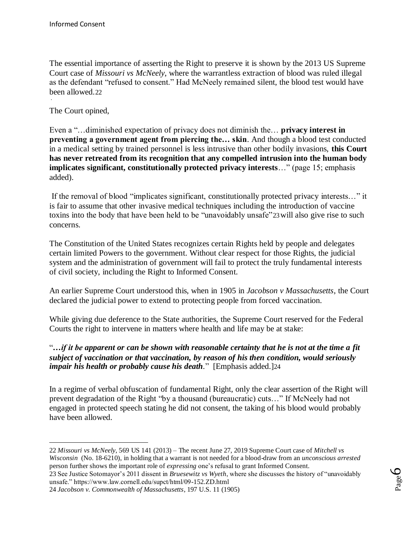The essential importance of asserting the Right to preserve it is shown by the 2013 US Supreme Court case of *Missouri vs McNeely*, where the warrantless extraction of blood was ruled illegal as the defendant "refused to consent." Had McNeely remained silent, the blood test would have been allowed.22 .

The Court opined,

l

Even a "…diminished expectation of privacy does not diminish the… **privacy interest in preventing a government agent from piercing the… skin**. And though a blood test conducted in a medical setting by trained personnel is less intrusive than other bodily invasions, **this Court has never retreated from its recognition that any compelled intrusion into the human body implicates significant, constitutionally protected privacy interests**…" (page 15; emphasis added).

If the removal of blood "implicates significant, constitutionally protected privacy interests…" it is fair to assume that other invasive medical techniques including the introduction of vaccine toxins into the body that have been held to be "unavoidably unsafe"23will also give rise to such concerns.

The Constitution of the United States recognizes certain Rights held by people and delegates certain limited Powers to the government. Without clear respect for those Rights, the judicial system and the administration of government will fail to protect the truly fundamental interests of civil society, including the Right to Informed Consent.

An earlier Supreme Court understood this, when in 1905 in *Jacobson v Massachusetts*, the Court declared the judicial power to extend to protecting people from forced vaccination.

While giving due deference to the State authorities, the Supreme Court reserved for the Federal Courts the right to intervene in matters where health and life may be at stake:

#### "*…if it be apparent or can be shown with reasonable certainty that he is not at the time a fit subject of vaccination or that vaccination, by reason of his then condition, would seriously impair his health or probably cause his death.*" [Emphasis added.]24

In a regime of verbal obfuscation of fundamental Right, only the clear assertion of the Right will prevent degradation of the Right "by a thousand (bureaucratic) cuts…" If McNeely had not engaged in protected speech stating he did not consent, the taking of his blood would probably have been allowed.

<sup>22</sup> *Missouri vs McNeely*, 569 US 141 (2013) – The recent June 27, 2019 Supreme Court case of *Mitchell vs Wisconsin* (No. 18-6210), in holding that a warrant is not needed for a blood-draw from an *unconscious arrested* person further shows the important role of *expressing* one's refusal to grant Informed Consent.

<sup>23</sup> See Justice Sotomayor's 2011 dissent in *Bruesewitz vs Wyeth*, where she discusses the history of "unavoidably unsafe." https://www.law.cornell.edu/supct/html/09-152.ZD.html

<sup>24</sup> *Jacobson v. Commonwealth of Massachusetts*, 197 U.S. 11 (1905)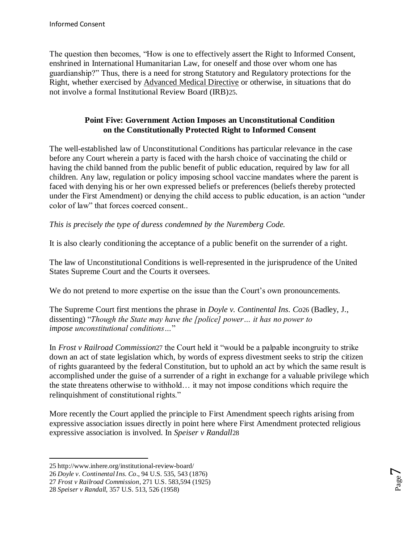The question then becomes, "How is one to effectively assert the Right to Informed Consent, enshrined in International Humanitarian Law, for oneself and those over whom one has guardianship?" Thus, there is a need for strong Statutory and Regulatory protections for the Right, whether exercised by [Advanced Medical Directive](http://drrimatruthreports.com/advancevaccinedirective) or otherwise, in situations that do not involve a formal Institutional Review Board (IRB)25.

## **Point Five: Government Action Imposes an Unconstitutional Condition on the Constitutionally Protected Right to Informed Consent**

The well-established law of Unconstitutional Conditions has particular relevance in the case before any Court wherein a party is faced with the harsh choice of vaccinating the child or having the child banned from the public benefit of public education, required by law for all children. Any law, regulation or policy imposing school vaccine mandates where the parent is faced with denying his or her own expressed beliefs or preferences (beliefs thereby protected under the First Amendment) or denying the child access to public education, is an action "under color of law" that forces coerced consent..

## *This is precisely the type of duress condemned by the Nuremberg Code.*

It is also clearly conditioning the acceptance of a public benefit on the surrender of a right.

The law of Unconstitutional Conditions is well-represented in the jurisprudence of the United States Supreme Court and the Courts it oversees.

We do not pretend to more expertise on the issue than the Court's own pronouncements.

The Supreme Court first mentions the phrase in *Doyle v. Continental Ins. Co*26 (Badley, J., dissenting) "*Though the State may have the [police] power… it has no power to impose unconstitutional conditions…*"

In *Frost v Railroad Commission*27 the Court held it "would be a palpable incongruity to strike down an act of state legislation which, by words of express divestment seeks to strip the citizen of rights guaranteed by the federal Constitution, but to uphold an act by which the same result is accomplished under the guise of a surrender of a right in exchange for a valuable privilege which the state threatens otherwise to withhold… it may not impose conditions which require the relinquishment of constitutional rights."

More recently the Court applied the principle to First Amendment speech rights arising from expressive association issues directly in point here where First Amendment protected religious expressive association is involved. In *Speiser v Randall*28

<sup>25</sup> http://www.inhere.org/institutional-review-board/

<sup>26</sup> *Doyle v. Continental Ins. Co*., 94 U.S. 535, 543 (1876)

<sup>27</sup> *Frost v Railroad Commission*, 271 U.S. 583,594 (1925)

<sup>28</sup> *Speiser v Randall*, 357 U.S. 513, 526 (1958)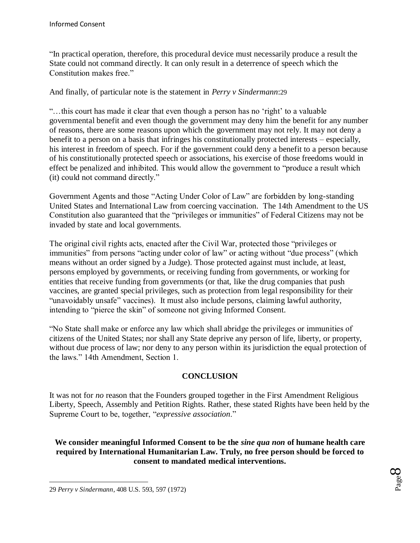"In practical operation, therefore, this procedural device must necessarily produce a result the State could not command directly. It can only result in a deterrence of speech which the Constitution makes free."

And finally, of particular note is the statement in *Perry v Sindermann*:29

"…this court has made it clear that even though a person has no 'right' to a valuable governmental benefit and even though the government may deny him the benefit for any number of reasons, there are some reasons upon which the government may not rely. It may not deny a benefit to a person on a basis that infringes his constitutionally protected interests – especially, his interest in freedom of speech. For if the government could deny a benefit to a person because of his constitutionally protected speech or associations, his exercise of those freedoms would in effect be penalized and inhibited. This would allow the government to "produce a result which (it) could not command directly."

Government Agents and those "Acting Under Color of Law" are forbidden by long-standing United States and International Law from coercing vaccination. The 14th Amendment to the US Constitution also guaranteed that the "privileges or immunities" of Federal Citizens may not be invaded by state and local governments.

The original civil rights acts, enacted after the Civil War, protected those "privileges or immunities" from persons "acting under color of law" or acting without "due process" (which means without an order signed by a Judge). Those protected against must include, at least, persons employed by governments, or receiving funding from governments, or working for entities that receive funding from governments (or that, like the drug companies that push vaccines, are granted special privileges, such as protection from legal responsibility for their "unavoidably unsafe" vaccines). It must also include persons, claiming lawful authority, intending to "pierce the skin" of someone not giving Informed Consent.

"No State shall make or enforce any law which shall abridge the privileges or immunities of citizens of the United States; nor shall any State deprive any person of life, liberty, or property, without due process of law; nor deny to any person within its jurisdiction the equal protection of the laws." 14th Amendment, Section 1.

#### **CONCLUSION**

It was not for *no* reason that the Founders grouped together in the First Amendment Religious Liberty, Speech, Assembly and Petition Rights. Rather, these stated Rights have been held by the Supreme Court to be, together, "*expressive association*."

**We consider meaningful Informed Consent to be the** *sine qua non* **of humane health care required by International Humanitarian Law. Truly, no free person should be forced to consent to mandated medical interventions.**

 $\overline{a}$ 

<sup>29</sup> *Perry v Sindermann*, 408 U.S. 593, 597 (1972)